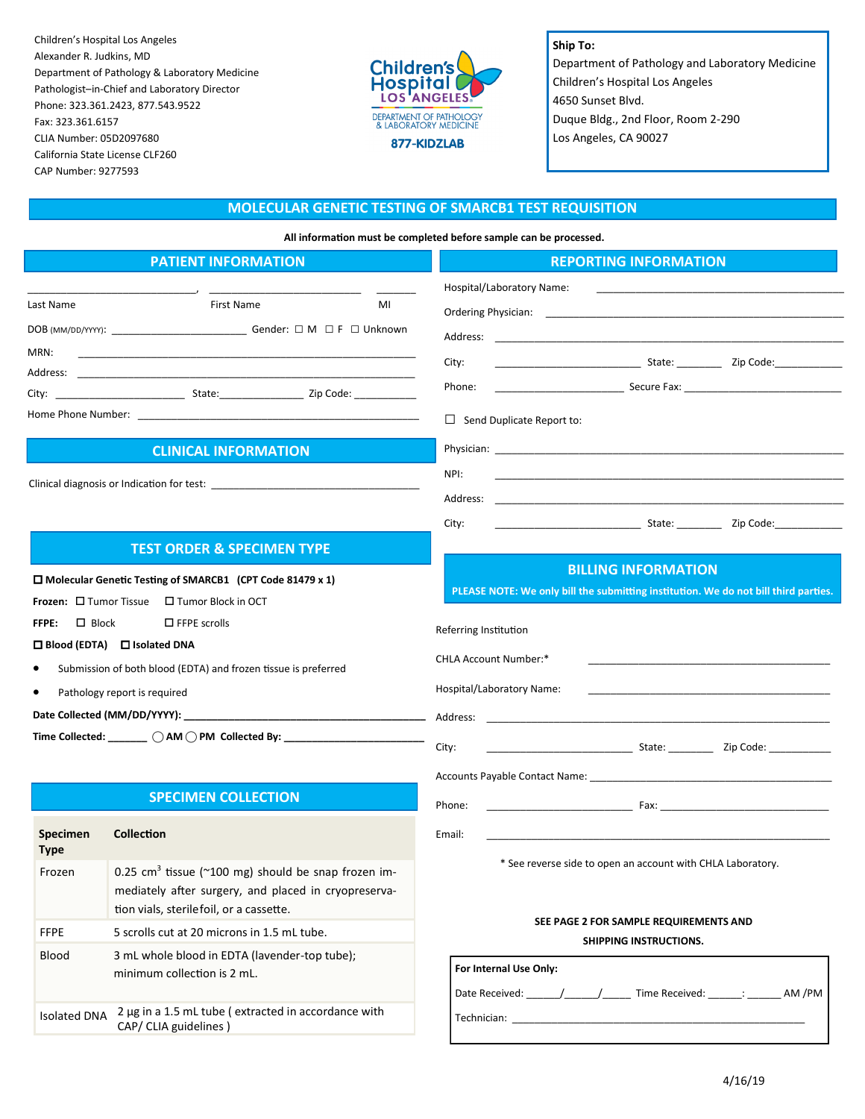Children's Hospital Los Angeles Alexander R. Judkins, MD Department of Pathology & Laboratory Medicine Pathologist–in-Chief and Laboratory Director Phone: 323.361.2423, 877.543.9522 Fax: 323.361.6157 CLIA Number: 05D2097680 California State License CLF260 CAP Number: 9277593



**Ship To:** Department of Pathology and Laboratory Medicine Children's Hospital Los Angeles 4650 Sunset Blvd. Duque Bldg., 2nd Floor, Room 2-290 Los Angeles, CA 90027

# **MOLECULAR GENETIC TESTING OF SMARCB1 TEST REQUISITION**

**All information must be completed before sample can be processed.**

| <b>PATIENT INFORMATION</b>                                                                                                                                                                                             |                                                                                                                                                                                                                                | <b>REPORTING INFORMATION</b>                                                                                                                                                                                                                                                                                                                                                                                                                                              |
|------------------------------------------------------------------------------------------------------------------------------------------------------------------------------------------------------------------------|--------------------------------------------------------------------------------------------------------------------------------------------------------------------------------------------------------------------------------|---------------------------------------------------------------------------------------------------------------------------------------------------------------------------------------------------------------------------------------------------------------------------------------------------------------------------------------------------------------------------------------------------------------------------------------------------------------------------|
| Last Name                                                                                                                                                                                                              | First Name<br>MI                                                                                                                                                                                                               | Hospital/Laboratory Name:                                                                                                                                                                                                                                                                                                                                                                                                                                                 |
|                                                                                                                                                                                                                        |                                                                                                                                                                                                                                | Address:<br><u> 1989 - Johann Stoff, amerikansk politiker (d. 1989)</u>                                                                                                                                                                                                                                                                                                                                                                                                   |
| MRN:                                                                                                                                                                                                                   |                                                                                                                                                                                                                                | City:                                                                                                                                                                                                                                                                                                                                                                                                                                                                     |
|                                                                                                                                                                                                                        | Address: Analysis and the contract of the contract of the contract of the contract of the contract of the contract of the contract of the contract of the contract of the contract of the contract of the contract of the cont | Phone:                                                                                                                                                                                                                                                                                                                                                                                                                                                                    |
|                                                                                                                                                                                                                        |                                                                                                                                                                                                                                | $\Box$ Send Duplicate Report to:                                                                                                                                                                                                                                                                                                                                                                                                                                          |
|                                                                                                                                                                                                                        | <b>CLINICAL INFORMATION</b>                                                                                                                                                                                                    |                                                                                                                                                                                                                                                                                                                                                                                                                                                                           |
|                                                                                                                                                                                                                        |                                                                                                                                                                                                                                | NPI:                                                                                                                                                                                                                                                                                                                                                                                                                                                                      |
|                                                                                                                                                                                                                        |                                                                                                                                                                                                                                | Address:<br><u> 1989 - Johann Stoff, amerikansk politiker (d. 1989)</u>                                                                                                                                                                                                                                                                                                                                                                                                   |
|                                                                                                                                                                                                                        |                                                                                                                                                                                                                                | <u>State: State: Zip Code:</u> 2012. Communications of the State: 2012. Communications of the State of the State of the State of the State of the State of the State of the State of the State of the State of the State of the Sta<br>City:                                                                                                                                                                                                                              |
|                                                                                                                                                                                                                        | <b>TEST ORDER &amp; SPECIMEN TYPE</b>                                                                                                                                                                                          |                                                                                                                                                                                                                                                                                                                                                                                                                                                                           |
| □ Molecular Genetic Testing of SMARCB1 (CPT Code 81479 x 1)<br><b>Frozen:</b> $\Box$ Tumor Tissue $\Box$ Tumor Block in OCT<br>$\Box$ Block<br>$\Box$ FFPE scrolls<br>FFPE:<br>$\Box$ Blood (EDTA) $\Box$ Isolated DNA |                                                                                                                                                                                                                                | <b>BILLING INFORMATION</b><br>PLEASE NOTE: We only bill the submitting institution. We do not bill third parties.                                                                                                                                                                                                                                                                                                                                                         |
|                                                                                                                                                                                                                        |                                                                                                                                                                                                                                | Referring Institution                                                                                                                                                                                                                                                                                                                                                                                                                                                     |
| Submission of both blood (EDTA) and frozen tissue is preferred                                                                                                                                                         |                                                                                                                                                                                                                                | <b>CHLA Account Number:*</b>                                                                                                                                                                                                                                                                                                                                                                                                                                              |
| Pathology report is required                                                                                                                                                                                           |                                                                                                                                                                                                                                | Hospital/Laboratory Name:                                                                                                                                                                                                                                                                                                                                                                                                                                                 |
|                                                                                                                                                                                                                        |                                                                                                                                                                                                                                |                                                                                                                                                                                                                                                                                                                                                                                                                                                                           |
| Time Collected: _______ () AM () PM Collected By: _______________                                                                                                                                                      |                                                                                                                                                                                                                                | City:                                                                                                                                                                                                                                                                                                                                                                                                                                                                     |
|                                                                                                                                                                                                                        |                                                                                                                                                                                                                                |                                                                                                                                                                                                                                                                                                                                                                                                                                                                           |
|                                                                                                                                                                                                                        | <b>SPECIMEN COLLECTION</b>                                                                                                                                                                                                     | <b>Example 200</b> Fax: <b>Example 200</b> Fax: <b>Example 200</b><br>Phone:                                                                                                                                                                                                                                                                                                                                                                                              |
| Specimen<br><b>Type</b>                                                                                                                                                                                                | <b>Collection</b>                                                                                                                                                                                                              | Email:                                                                                                                                                                                                                                                                                                                                                                                                                                                                    |
| Frozen                                                                                                                                                                                                                 | 0.25 cm <sup>3</sup> tissue (~100 mg) should be snap frozen im-<br>mediately after surgery, and placed in cryopreserva-<br>tion vials, sterilefoil, or a cassette.                                                             | * See reverse side to open an account with CHLA Laboratory.<br>SEE PAGE 2 FOR SAMPLE REQUIREMENTS AND<br>SHIPPING INSTRUCTIONS.<br>For Internal Use Only:<br>Date Received: ______/_____/________ Time Received: ______: _______ AM /PM<br>Technician: Technician: Technician: Technician: Technician: Technician: Technician: Technician: Technician: Technician: Technician: Technician: Technician: Technician: Technician: Technician: Technician: Technician: Techni |
| <b>FFPE</b>                                                                                                                                                                                                            | 5 scrolls cut at 20 microns in 1.5 mL tube.                                                                                                                                                                                    |                                                                                                                                                                                                                                                                                                                                                                                                                                                                           |
| <b>Blood</b>                                                                                                                                                                                                           | 3 mL whole blood in EDTA (lavender-top tube);<br>minimum collection is 2 mL.                                                                                                                                                   |                                                                                                                                                                                                                                                                                                                                                                                                                                                                           |
| <b>Isolated DNA</b>                                                                                                                                                                                                    | 2 µg in a 1.5 mL tube (extracted in accordance with<br>CAP/ CLIA guidelines)                                                                                                                                                   |                                                                                                                                                                                                                                                                                                                                                                                                                                                                           |